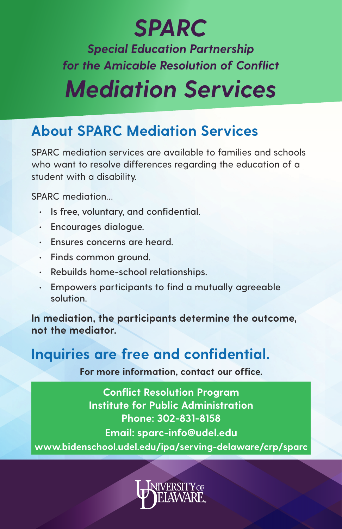### *SPARC*

*Special Education Partnership for the Amicable Resolution of Conflict*

# *Mediation Services*

#### **About SPARC Mediation Services**

SPARC mediation services are available to families and schools who want to resolve differences reaarding the education of a student with a disability.

SPARC mediation…

- **• Is free, voluntary, and confidential.**
- **• Encourages dialogue.**
- **• Ensures concerns are heard.**
- **• Finds common ground.**
- **• Rebuilds home-school relationships.**
- **• Empowers participants to find a mutually agreeable solution.**

**In mediation, the participants determine the outcome, not the mediator.**

### **Inquiries are free and confidential.**

**For more information, contact our office.**

**Conflict Resolution Program Institute for Public Administration Phone: 302-831-8158 Email: sparc-info@udel.edu www.bidenschool.udel.edu/ipa/serving-delaware/crp/sparc**